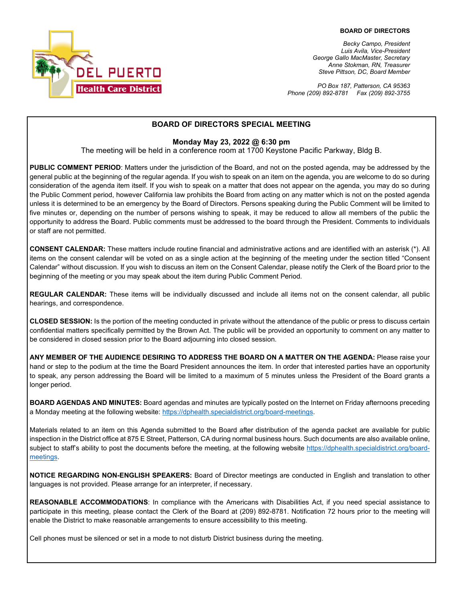

*Becky Campo, President Luis Avila, Vice-President George Gallo MacMaster, Secretary Anne Stokman, RN, Treasurer Steve Pittson, DC, Board Member*

*PO Box 187, Patterson, CA 95363 Phone (209) 892-8781 Fax (209) 892-3755*

### **BOARD OF DIRECTORS SPECIAL MEETING**

#### **Monday May 23, 2022 @ 6:30 pm**

The meeting will be held in a conference room at 1700 Keystone Pacific Parkway, Bldg B.

**PUBLIC COMMENT PERIOD**: Matters under the jurisdiction of the Board, and not on the posted agenda, may be addressed by the general public at the beginning of the regular agenda. If you wish to speak on an item on the agenda, you are welcome to do so during consideration of the agenda item itself. If you wish to speak on a matter that does not appear on the agenda, you may do so during the Public Comment period, however California law prohibits the Board from acting on any matter which is not on the posted agenda unless it is determined to be an emergency by the Board of Directors. Persons speaking during the Public Comment will be limited to five minutes or, depending on the number of persons wishing to speak, it may be reduced to allow all members of the public the opportunity to address the Board. Public comments must be addressed to the board through the President. Comments to individuals or staff are not permitted.

**CONSENT CALENDAR:** These matters include routine financial and administrative actions and are identified with an asterisk (\*). All items on the consent calendar will be voted on as a single action at the beginning of the meeting under the section titled "Consent Calendar" without discussion. If you wish to discuss an item on the Consent Calendar, please notify the Clerk of the Board prior to the beginning of the meeting or you may speak about the item during Public Comment Period.

**REGULAR CALENDAR:** These items will be individually discussed and include all items not on the consent calendar, all public hearings, and correspondence.

**CLOSED SESSION:** Is the portion of the meeting conducted in private without the attendance of the public or press to discuss certain confidential matters specifically permitted by the Brown Act. The public will be provided an opportunity to comment on any matter to be considered in closed session prior to the Board adjourning into closed session.

**ANY MEMBER OF THE AUDIENCE DESIRING TO ADDRESS THE BOARD ON A MATTER ON THE AGENDA:** Please raise your hand or step to the podium at the time the Board President announces the item. In order that interested parties have an opportunity to speak, any person addressing the Board will be limited to a maximum of 5 minutes unless the President of the Board grants a longer period.

**BOARD AGENDAS AND MINUTES:** Board agendas and minutes are typically posted on the Internet on Friday afternoons preceding a Monday meeting at the following website: [https://dphealth.specialdistrict.org/board-meetings.](https://dphealth.specialdistrict.org/board-meetings) 

Materials related to an item on this Agenda submitted to the Board after distribution of the agenda packet are available for public inspection in the District office at 875 E Street, Patterson, CA during normal business hours. Such documents are also available online, subject to staff's ability to post the documents before the meeting, at the following website [https://dphealth.specialdistrict.org/board](https://dphealth.specialdistrict.org/board-meetings)[meetings.](https://dphealth.specialdistrict.org/board-meetings)

**NOTICE REGARDING NON-ENGLISH SPEAKERS:** Board of Director meetings are conducted in English and translation to other languages is not provided. Please arrange for an interpreter, if necessary.

**REASONABLE ACCOMMODATIONS**: In compliance with the Americans with Disabilities Act, if you need special assistance to participate in this meeting, please contact the Clerk of the Board at (209) 892-8781. Notification 72 hours prior to the meeting will enable the District to make reasonable arrangements to ensure accessibility to this meeting.

Cell phones must be silenced or set in a mode to not disturb District business during the meeting.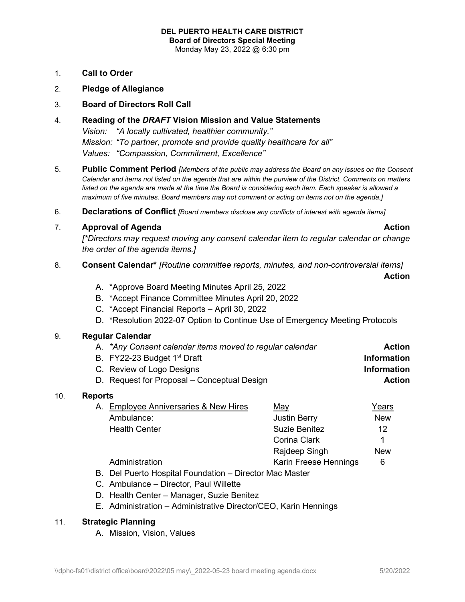- 1. **Call to Order**
- 2. **Pledge of Allegiance**
- 3. **Board of Directors Roll Call**
- 4. **Reading of the** *DRAFT* **Vision Mission and Value Statements** *Vision: "A locally cultivated, healthier community." Mission: "To partner, promote and provide quality healthcare for all" Values: "Compassion, Commitment, Excellence"*
- 5. **Public Comment Period** *[Members of the public may address the Board on any issues on the Consent Calendar and items not listed on the agenda that are within the purview of the District. Comments on matters listed on the agenda are made at the time the Board is considering each item. Each speaker is allowed a maximum of five minutes. Board members may not comment or acting on items not on the agenda.]*
- 6. **Declarations of Conflict** *[Board members disclose any conflicts of interest with agenda items]*
- 7. **Approval of Agenda Action**

*[\*Directors may request moving any consent calendar item to regular calendar or change the order of the agenda items.]*

### 8. **Consent Calendar\*** *[Routine committee reports, minutes, and non-controversial items]*

**Action**

- A. \*Approve Board Meeting Minutes April 25, 2022
- B. \*Accept Finance Committee Minutes April 20, 2022
- C. \*Accept Financial Reports April 30, 2022
- D. \*Resolution 2022-07 Option to Continue Use of Emergency Meeting Protocols

## 9. **Regular Calendar**

| A. *Any Consent calendar items moved to regular calendar | <b>Action</b>      |
|----------------------------------------------------------|--------------------|
| B. FY22-23 Budget 1 <sup>st</sup> Draft                  | <b>Information</b> |
| C. Review of Logo Designs                                | <b>Information</b> |
| D. Request for Proposal – Conceptual Design              | <b>Action</b>      |

#### 10. **Reports**

| A. Employee Anniversaries & New Hires | May                   | Years      |
|---------------------------------------|-----------------------|------------|
| Ambulance:                            | <b>Justin Berry</b>   | <b>New</b> |
| <b>Health Center</b>                  | Suzie Benitez         | 12         |
|                                       | Corina Clark          |            |
|                                       | Rajdeep Singh         | New        |
| Administration                        | Karin Freese Hennings | 6          |
|                                       |                       |            |

- B. Del Puerto Hospital Foundation Director Mac Master
- C. Ambulance Director, Paul Willette
- D. Health Center Manager, Suzie Benitez
- E. Administration Administrative Director/CEO, Karin Hennings

## 11. **Strategic Planning**

A. Mission, Vision, Values